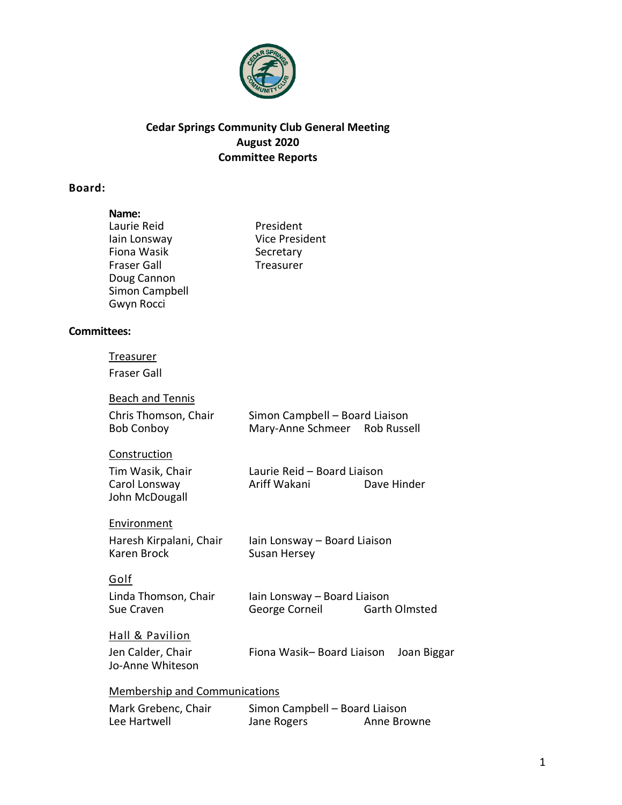

# **Cedar Springs Community Club General Meeting August 2020 Committee Reports**

# **Board:**

|                    | Name:<br>Laurie Reid<br>lain Lonsway<br>Fiona Wasik<br><b>Fraser Gall</b><br>Doug Cannon<br>Simon Campbell<br>Gwyn Rocci | President<br><b>Vice President</b><br>Secretary<br>Treasurer    |                      |
|--------------------|--------------------------------------------------------------------------------------------------------------------------|-----------------------------------------------------------------|----------------------|
| <b>Committees:</b> |                                                                                                                          |                                                                 |                      |
|                    | <u>Treasurer</u><br><b>Fraser Gall</b>                                                                                   |                                                                 |                      |
|                    | <b>Beach and Tennis</b><br>Chris Thomson, Chair<br><b>Bob Conboy</b>                                                     | Simon Campbell - Board Liaison<br>Mary-Anne Schmeer Rob Russell |                      |
|                    | Construction<br>Tim Wasik, Chair<br>Carol Lonsway<br>John McDougall                                                      | Laurie Reid - Board Liaison<br>Ariff Wakani                     | Dave Hinder          |
|                    | Environment<br>Haresh Kirpalani, Chair<br><b>Karen Brock</b>                                                             | Iain Lonsway - Board Liaison<br><b>Susan Hersey</b>             |                      |
|                    | Golf<br>Linda Thomson, Chair<br>Sue Craven                                                                               | Iain Lonsway - Board Liaison<br>George Corneil                  | <b>Garth Olmsted</b> |
|                    | Hall & Pavilion<br>Jen Calder, Chair<br>Jo-Anne Whiteson                                                                 | Fiona Wasik-Board Liaison                                       | Joan Biggar          |
|                    | <b>Membership and Communications</b>                                                                                     |                                                                 |                      |
|                    | Mark Grebenc, Chair<br>Lee Hartwell                                                                                      | Simon Campbell - Board Liaison<br>Jane Rogers                   | Anne Browne          |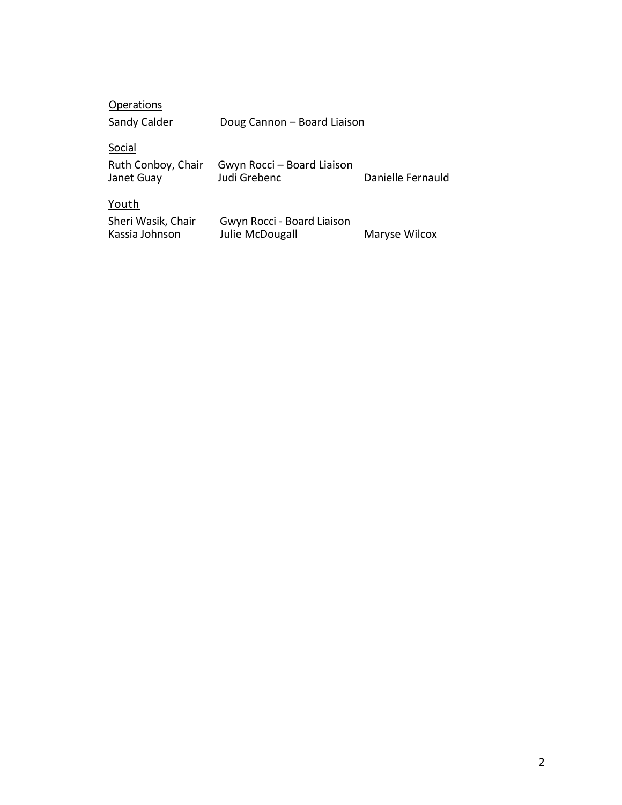| <b>Operations</b>                    |                                               |                   |
|--------------------------------------|-----------------------------------------------|-------------------|
| Sandy Calder                         | Doug Cannon - Board Liaison                   |                   |
| Social                               |                                               |                   |
| Ruth Conboy, Chair<br>Janet Guay     | Gwyn Rocci - Board Liaison<br>Judi Grebenc    | Danielle Fernauld |
| Youth                                |                                               |                   |
| Sheri Wasik, Chair<br>Kassia Johnson | Gwyn Rocci - Board Liaison<br>Julie McDougall | Maryse Wilcox     |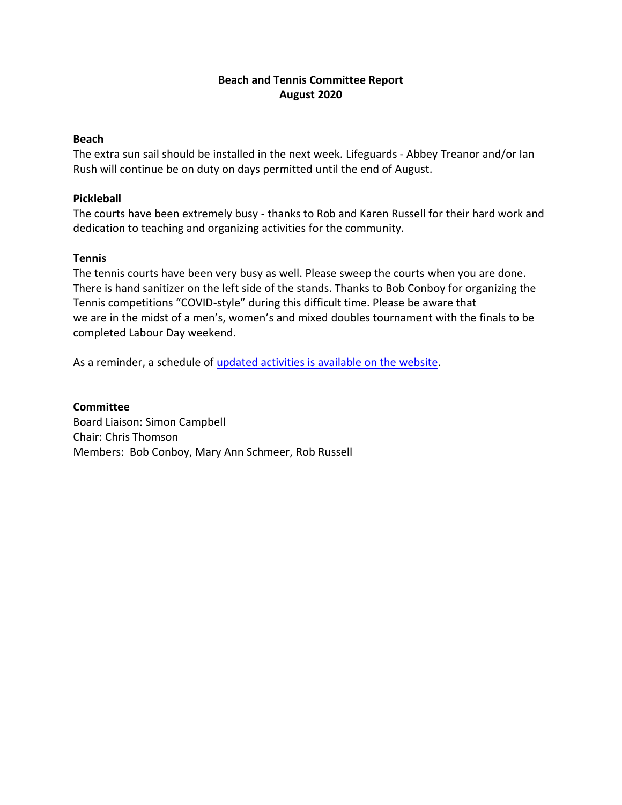## **Beach and Tennis Committee Report August 2020**

#### **Beach**

The extra sun sail should be installed in the next week. Lifeguards - Abbey Treanor and/or Ian Rush will continue be on duty on days permitted until the end of August.

#### **Pickleball**

The courts have been extremely busy - thanks to Rob and Karen Russell for their hard work and dedication to teaching and organizing activities for the community.

#### **Tennis**

The tennis courts have been very busy as well. Please sweep the courts when you are done. There is hand sanitizer on the left side of the stands. Thanks to Bob Conboy for organizing the Tennis competitions "COVID-style" during this difficult time. Please be aware that we are in the midst of a men's, women's and mixed doubles tournament with the finals to be completed Labour Day weekend.

As a reminder, a schedule of [updated activities is available on the website.](https://cedarspringscommunityclub.ca/members/events-calendar/)

#### **Committee**

Board Liaison: Simon Campbell Chair: Chris Thomson Members: Bob Conboy, Mary Ann Schmeer, Rob Russell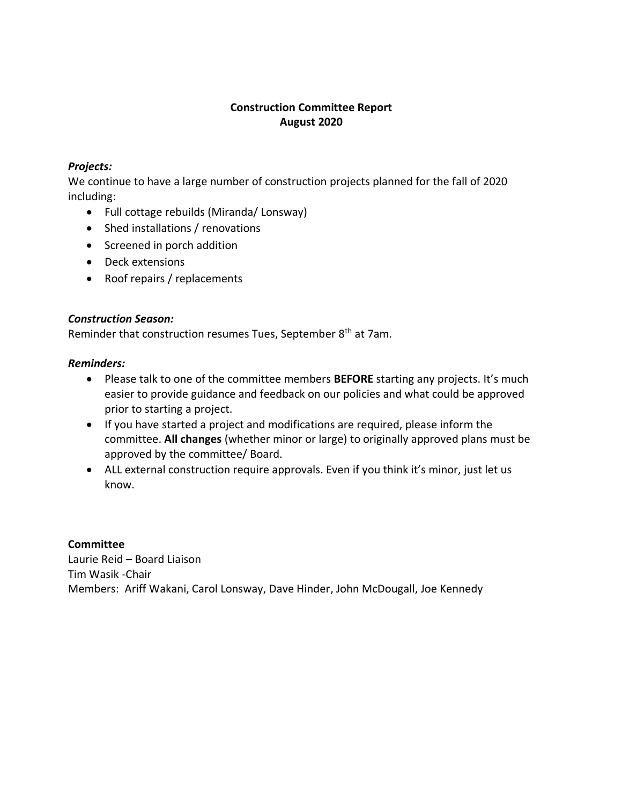## **Construction Committee Report August 2020**

# *Projects:*

We continue to have a large number of construction projects planned for the fall of 2020 including:

- Full cottage rebuilds (Miranda/ Lonsway)
- Shed installations / renovations
- Screened in porch addition
- Deck extensions
- Roof repairs / replacements

## *Construction Season:*

Reminder that construction resumes Tues, September 8<sup>th</sup> at 7am.

#### *Reminders:*

- Please talk to one of the committee members **BEFORE** starting any projects. It's much easier to provide guidance and feedback on our policies and what could be approved prior to starting a project.
- If you have started a project and modifications are required, please inform the committee. **All changes** (whether minor or large) to originally approved plans must be approved by the committee/ Board.
- ALL external construction require approvals. Even if you think it's minor, just let us know.

## **Committee**

Laurie Reid – Board Liaison Tim Wasik -Chair Members: Ariff Wakani, Carol Lonsway, Dave Hinder, John McDougall, Joe Kennedy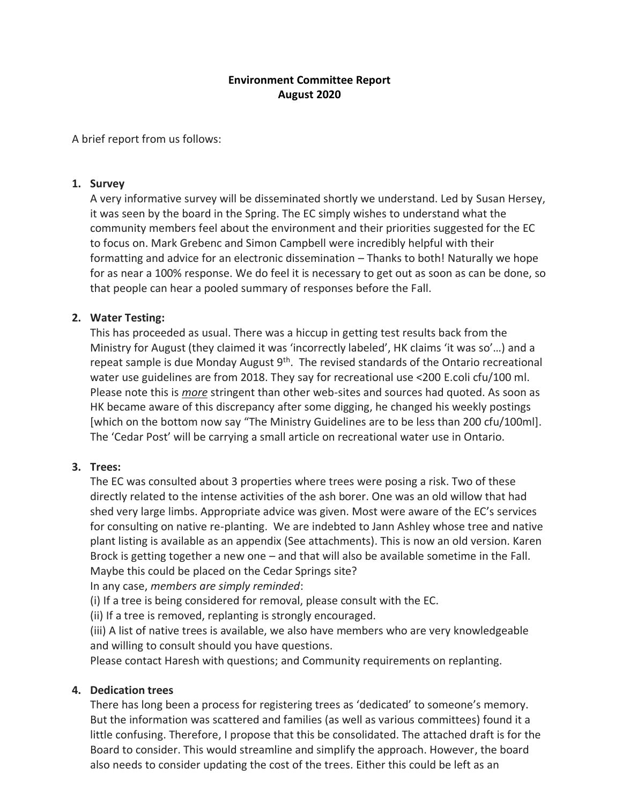## **Environment Committee Report August 2020**

A brief report from us follows:

#### **1. Survey**

A very informative survey will be disseminated shortly we understand. Led by Susan Hersey, it was seen by the board in the Spring. The EC simply wishes to understand what the community members feel about the environment and their priorities suggested for the EC to focus on. Mark Grebenc and Simon Campbell were incredibly helpful with their formatting and advice for an electronic dissemination – Thanks to both! Naturally we hope for as near a 100% response. We do feel it is necessary to get out as soon as can be done, so that people can hear a pooled summary of responses before the Fall.

## **2. Water Testing:**

This has proceeded as usual. There was a hiccup in getting test results back from the Ministry for August (they claimed it was 'incorrectly labeled', HK claims 'it was so'…) and a repeat sample is due Monday August  $9<sup>th</sup>$ . The revised standards of the Ontario recreational water use guidelines are from 2018. They say for recreational use <200 E.coli cfu/100 ml. Please note this is *more* stringent than other web-sites and sources had quoted. As soon as HK became aware of this discrepancy after some digging, he changed his weekly postings [which on the bottom now say "The Ministry Guidelines are to be less than 200 cfu/100ml]. The 'Cedar Post' will be carrying a small article on recreational water use in Ontario.

## **3. Trees:**

The EC was consulted about 3 properties where trees were posing a risk. Two of these directly related to the intense activities of the ash borer. One was an old willow that had shed very large limbs. Appropriate advice was given. Most were aware of the EC's services for consulting on native re-planting. We are indebted to Jann Ashley whose tree and native plant listing is available as an appendix (See attachments). This is now an old version. Karen Brock is getting together a new one – and that will also be available sometime in the Fall. Maybe this could be placed on the Cedar Springs site?

In any case, *members are simply reminded*:

(i) If a tree is being considered for removal, please consult with the EC.

(ii) If a tree is removed, replanting is strongly encouraged.

(iii) A list of native trees is available, we also have members who are very knowledgeable and willing to consult should you have questions.

Please contact Haresh with questions; and Community requirements on replanting.

## **4. Dedication trees**

There has long been a process for registering trees as 'dedicated' to someone's memory. But the information was scattered and families (as well as various committees) found it a little confusing. Therefore, I propose that this be consolidated. The attached draft is for the Board to consider. This would streamline and simplify the approach. However, the board also needs to consider updating the cost of the trees. Either this could be left as an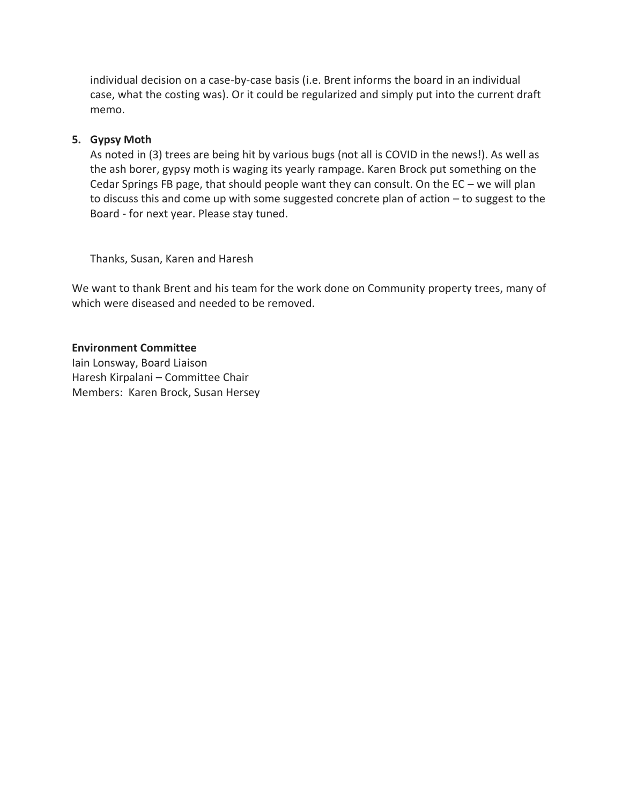individual decision on a case-by-case basis (i.e. Brent informs the board in an individual case, what the costing was). Or it could be regularized and simply put into the current draft memo.

#### **5. Gypsy Moth**

As noted in (3) trees are being hit by various bugs (not all is COVID in the news!). As well as the ash borer, gypsy moth is waging its yearly rampage. Karen Brock put something on the Cedar Springs FB page, that should people want they can consult. On the EC – we will plan to discuss this and come up with some suggested concrete plan of action – to suggest to the Board - for next year. Please stay tuned.

Thanks, Susan, Karen and Haresh

We want to thank Brent and his team for the work done on Community property trees, many of which were diseased and needed to be removed.

#### **Environment Committee**

Iain Lonsway, Board Liaison Haresh Kirpalani – Committee Chair Members: Karen Brock, Susan Hersey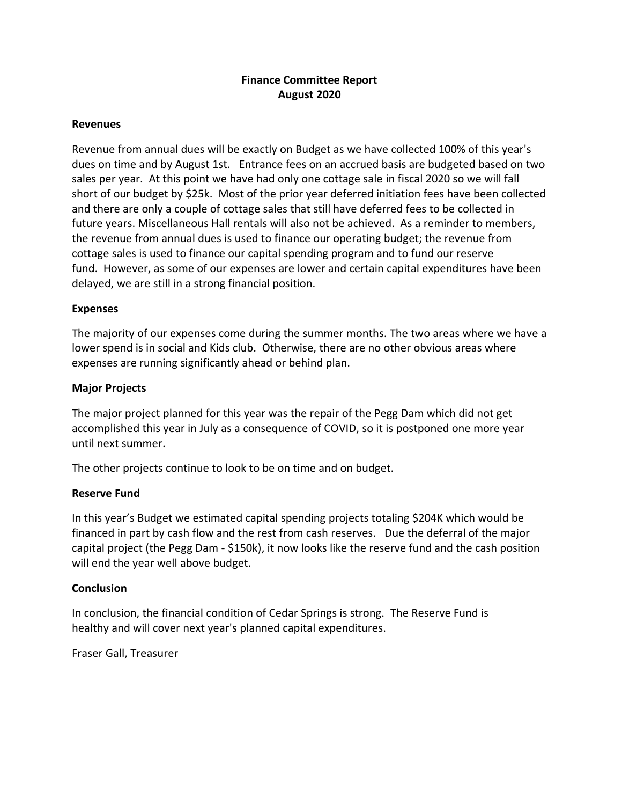### **Finance Committee Report August 2020**

#### **Revenues**

Revenue from annual dues will be exactly on Budget as we have collected 100% of this year's dues on time and by August 1st. Entrance fees on an accrued basis are budgeted based on two sales per year. At this point we have had only one cottage sale in fiscal 2020 so we will fall short of our budget by \$25k. Most of the prior year deferred initiation fees have been collected and there are only a couple of cottage sales that still have deferred fees to be collected in future years. Miscellaneous Hall rentals will also not be achieved. As a reminder to members, the revenue from annual dues is used to finance our operating budget; the revenue from cottage sales is used to finance our capital spending program and to fund our reserve fund. However, as some of our expenses are lower and certain capital expenditures have been delayed, we are still in a strong financial position.

#### **Expenses**

The majority of our expenses come during the summer months. The two areas where we have a lower spend is in social and Kids club. Otherwise, there are no other obvious areas where expenses are running significantly ahead or behind plan.

#### **Major Projects**

The major project planned for this year was the repair of the Pegg Dam which did not get accomplished this year in July as a consequence of COVID, so it is postponed one more year until next summer.

The other projects continue to look to be on time and on budget.

#### **Reserve Fund**

In this year's Budget we estimated capital spending projects totaling \$204K which would be financed in part by cash flow and the rest from cash reserves. Due the deferral of the major capital project (the Pegg Dam - \$150k), it now looks like the reserve fund and the cash position will end the year well above budget.

#### **Conclusion**

In conclusion, the financial condition of Cedar Springs is strong. The Reserve Fund is healthy and will cover next year's planned capital expenditures.

Fraser Gall, Treasurer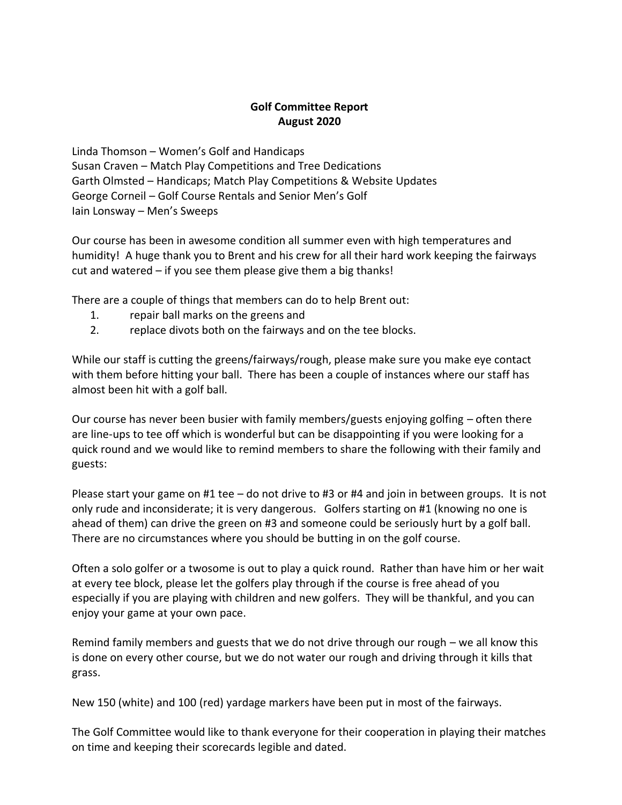## **Golf Committee Report August 2020**

Linda Thomson – Women's Golf and Handicaps Susan Craven – Match Play Competitions and Tree Dedications Garth Olmsted – Handicaps; Match Play Competitions & Website Updates George Corneil – Golf Course Rentals and Senior Men's Golf Iain Lonsway – Men's Sweeps

Our course has been in awesome condition all summer even with high temperatures and humidity! A huge thank you to Brent and his crew for all their hard work keeping the fairways cut and watered – if you see them please give them a big thanks!

There are a couple of things that members can do to help Brent out:

- 1. repair ball marks on the greens and
- 2. replace divots both on the fairways and on the tee blocks.

While our staff is cutting the greens/fairways/rough, please make sure you make eye contact with them before hitting your ball. There has been a couple of instances where our staff has almost been hit with a golf ball.

Our course has never been busier with family members/guests enjoying golfing – often there are line-ups to tee off which is wonderful but can be disappointing if you were looking for a quick round and we would like to remind members to share the following with their family and guests:

Please start your game on #1 tee – do not drive to #3 or #4 and join in between groups. It is not only rude and inconsiderate; it is very dangerous. Golfers starting on #1 (knowing no one is ahead of them) can drive the green on #3 and someone could be seriously hurt by a golf ball. There are no circumstances where you should be butting in on the golf course.

Often a solo golfer or a twosome is out to play a quick round. Rather than have him or her wait at every tee block, please let the golfers play through if the course is free ahead of you especially if you are playing with children and new golfers. They will be thankful, and you can enjoy your game at your own pace.

Remind family members and guests that we do not drive through our rough – we all know this is done on every other course, but we do not water our rough and driving through it kills that grass.

New 150 (white) and 100 (red) yardage markers have been put in most of the fairways.

The Golf Committee would like to thank everyone for their cooperation in playing their matches on time and keeping their scorecards legible and dated.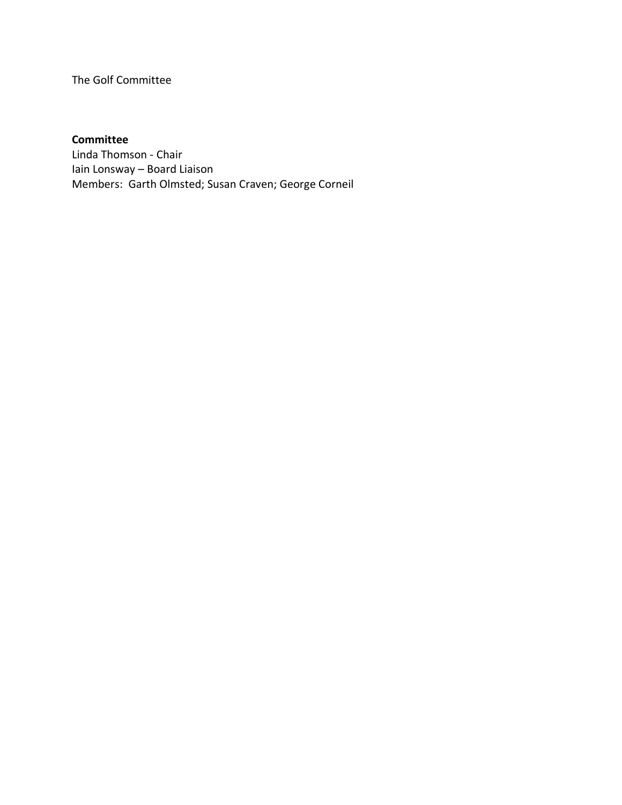The Golf Committee

## **Committee**

Linda Thomson - Chair Iain Lonsway – Board Liaison Members: Garth Olmsted; Susan Craven; George Corneil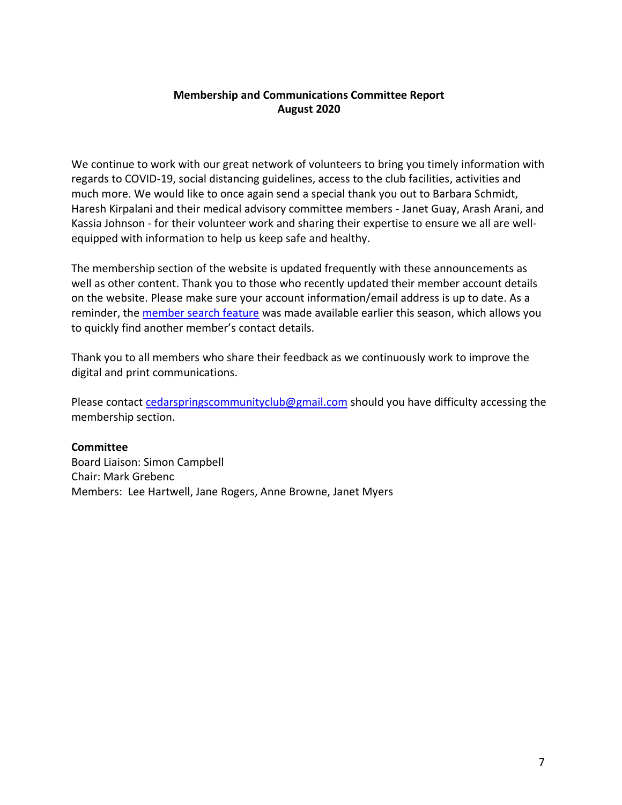#### **Membership and Communications Committee Report August 2020**

We continue to work with our great network of volunteers to bring you timely information with regards to COVID-19, social distancing guidelines, access to the club facilities, activities and much more. We would like to once again send a special thank you out to Barbara Schmidt, Haresh Kirpalani and their medical advisory committee members - Janet Guay, Arash Arani, and Kassia Johnson - for their volunteer work and sharing their expertise to ensure we all are wellequipped with information to help us keep safe and healthy.

The membership section of the website is updated frequently with these announcements as well as other content. Thank you to those who recently updated their member account details on the website. Please make sure your account information/email address is up to date. As a reminder, the [member search feature](https://cedarspringscommunityclub.ca/members/search/) was made available earlier this season, which allows you to quickly find another member's contact details.

Thank you to all members who share their feedback as we continuously work to improve the digital and print communications.

Please contact [cedarspringscommunityclub@gmail.com](mailto:cedarspringscommunityclub@gmail.com) should you have difficulty accessing the membership section.

#### **Committee**

Board Liaison: Simon Campbell Chair: Mark Grebenc Members: Lee Hartwell, Jane Rogers, Anne Browne, Janet Myers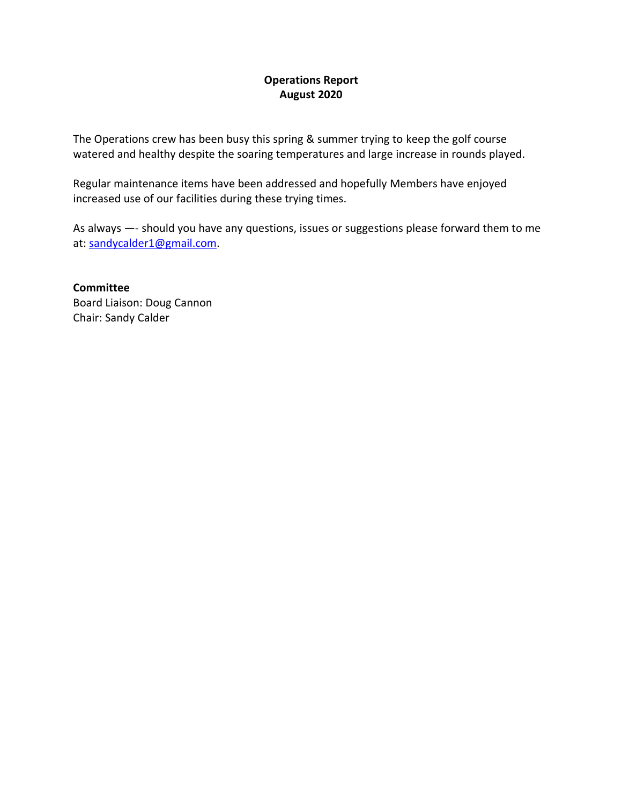## **Operations Report August 2020**

The Operations crew has been busy this spring & summer trying to keep the golf course watered and healthy despite the soaring temperatures and large increase in rounds played.

Regular maintenance items have been addressed and hopefully Members have enjoyed increased use of our facilities during these trying times.

As always —- should you have any questions, issues or suggestions please forward them to me at: [sandycalder1@gmail.com.](mailto:sandycalder1@gmail.com)

**Committee** Board Liaison: Doug Cannon Chair: Sandy Calder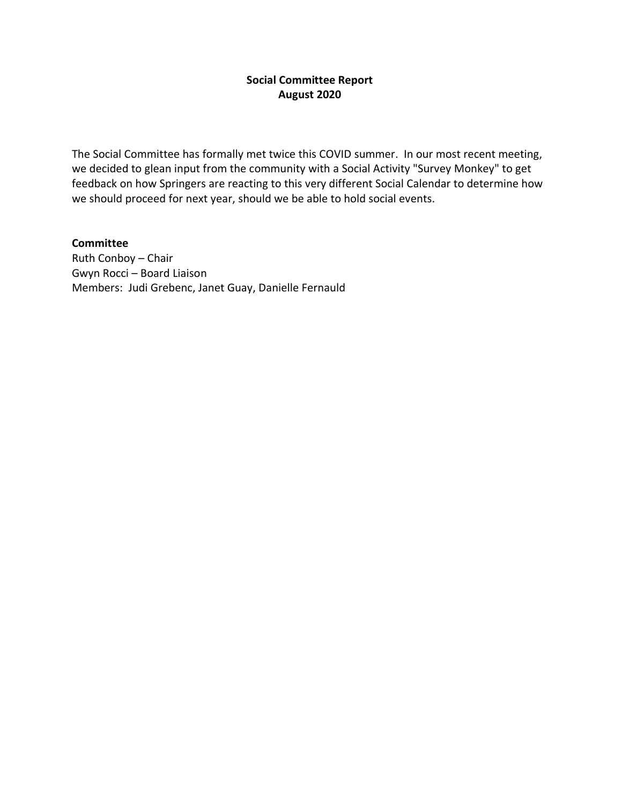### **Social Committee Report August 2020**

The Social Committee has formally met twice this COVID summer. In our most recent meeting, we decided to glean input from the community with a Social Activity "Survey Monkey" to get feedback on how Springers are reacting to this very different Social Calendar to determine how we should proceed for next year, should we be able to hold social events.

## **Committee**

Ruth Conboy – Chair Gwyn Rocci – Board Liaison Members: Judi Grebenc, Janet Guay, Danielle Fernauld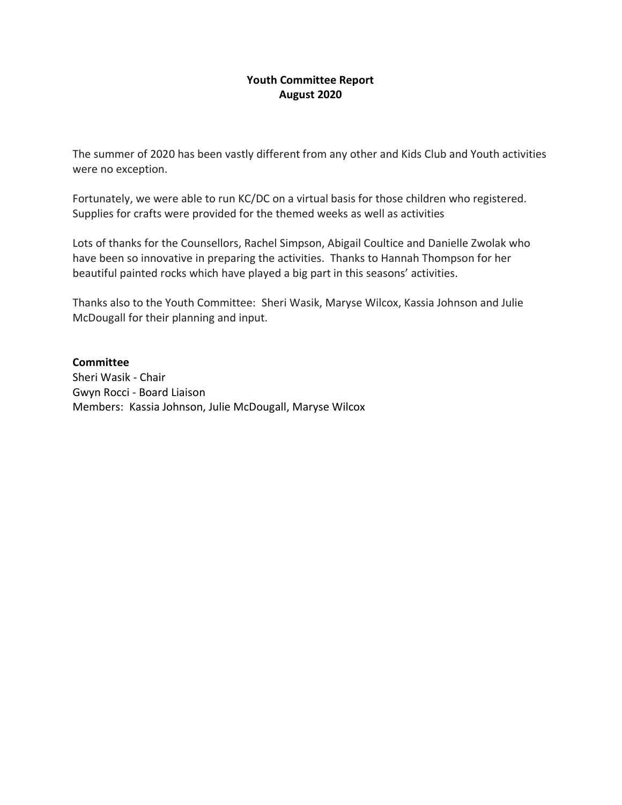#### **Youth Committee Report August 2020**

The summer of 2020 has been vastly different from any other and Kids Club and Youth activities were no exception.

Fortunately, we were able to run KC/DC on a virtual basis for those children who registered. Supplies for crafts were provided for the themed weeks as well as activities

Lots of thanks for the Counsellors, Rachel Simpson, Abigail Coultice and Danielle Zwolak who have been so innovative in preparing the activities. Thanks to Hannah Thompson for her beautiful painted rocks which have played a big part in this seasons' activities.

Thanks also to the Youth Committee: Sheri Wasik, Maryse Wilcox, Kassia Johnson and Julie McDougall for their planning and input.

#### **Committee**

Sheri Wasik - Chair Gwyn Rocci - Board Liaison Members: Kassia Johnson, Julie McDougall, Maryse Wilcox